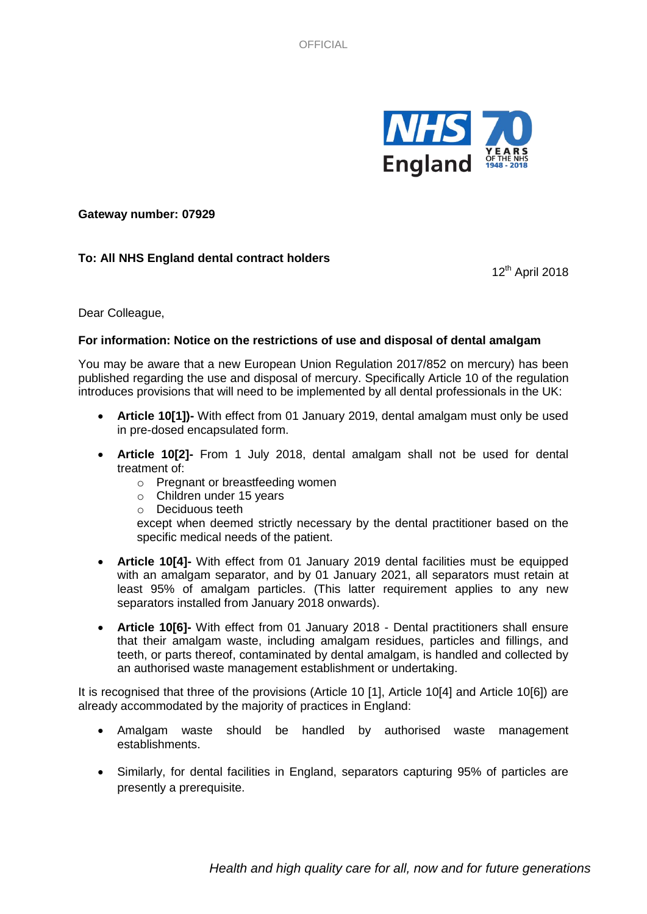

## **Gateway number: 07929**

## **To: All NHS England dental contract holders**

12<sup>th</sup> April 2018

Dear Colleague,

## **For information: Notice on the restrictions of use and disposal of dental amalgam**

You may be aware that a new European Union Regulation 2017/852 on mercury) has been published regarding the use and disposal of mercury. Specifically Article 10 of the regulation introduces provisions that will need to be implemented by all dental professionals in the UK:

- **Article 10[1])-** With effect from 01 January 2019, dental amalgam must only be used in pre-dosed encapsulated form.
- **Article 10[2]-** From 1 July 2018, dental amalgam shall not be used for dental treatment of:
	- o Pregnant or breastfeeding women
	- o Children under 15 years
	- o Deciduous teeth

except when deemed strictly necessary by the dental practitioner based on the specific medical needs of the patient.

- **Article 10[4]-** With effect from 01 January 2019 dental facilities must be equipped with an amalgam separator, and by 01 January 2021, all separators must retain at least 95% of amalgam particles. (This latter requirement applies to any new separators installed from January 2018 onwards).
- **Article 10[6]-** With effect from 01 January 2018 Dental practitioners shall ensure that their amalgam waste, including amalgam residues, particles and fillings, and teeth, or parts thereof, contaminated by dental amalgam, is handled and collected by an authorised waste management establishment or undertaking.

It is recognised that three of the provisions (Article 10 [1], Article 10[4] and Article 10[6]) are already accommodated by the majority of practices in England:

- Amalgam waste should be handled by authorised waste management establishments.
- Similarly, for dental facilities in England, separators capturing 95% of particles are presently a prerequisite.